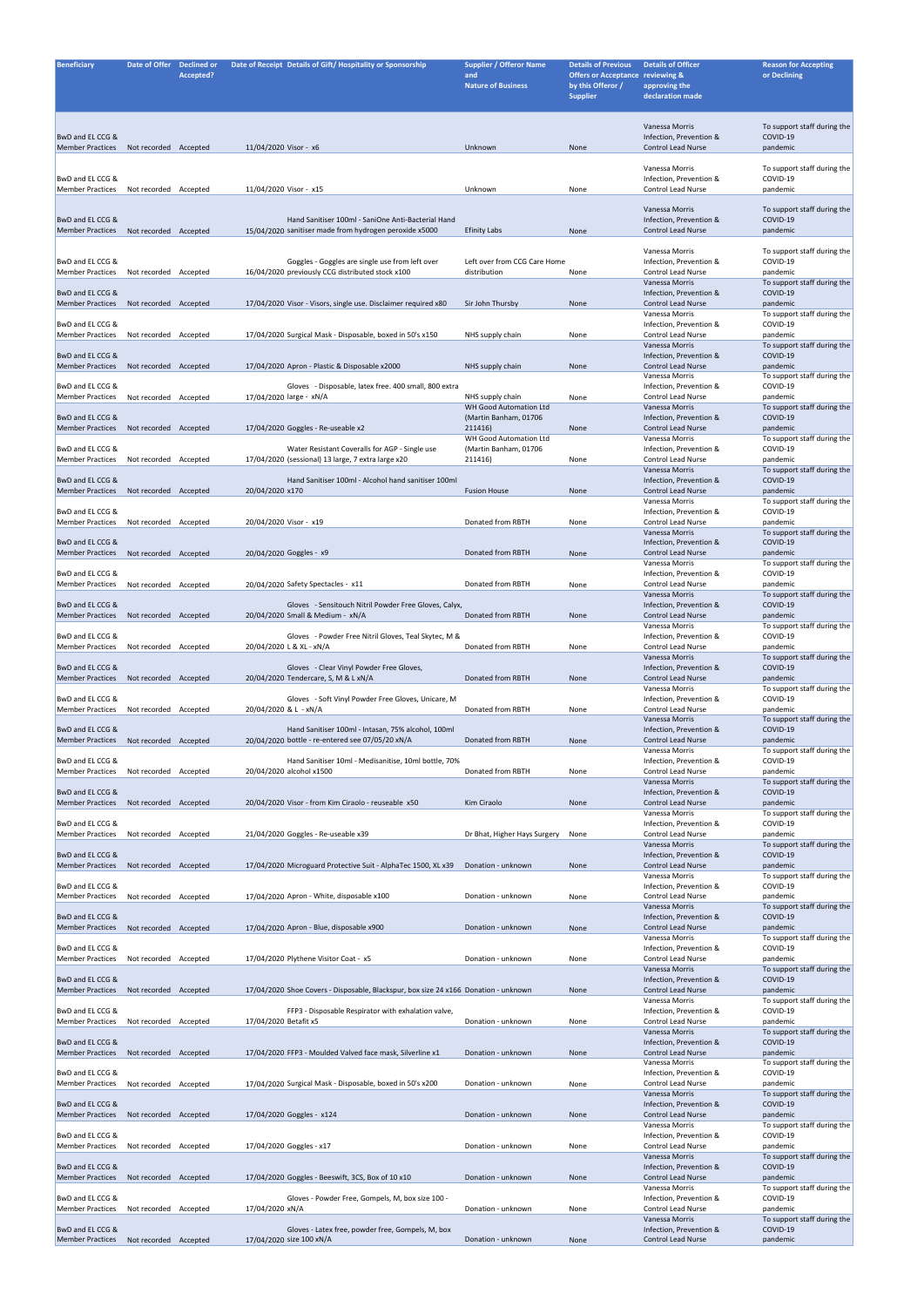| <b>Beneficiary</b>                                         | Date of Offer Declined or |           | Date of Receipt Details of Gift/Hospitality or Sponsorship                                                   | <b>Supplier / Offeror Name</b>                  | <b>Details of Previous</b>                                                          | <b>Details of Officer</b>                                              | <b>Reason for Accepting</b>                         |
|------------------------------------------------------------|---------------------------|-----------|--------------------------------------------------------------------------------------------------------------|-------------------------------------------------|-------------------------------------------------------------------------------------|------------------------------------------------------------------------|-----------------------------------------------------|
|                                                            |                           | Accepted? |                                                                                                              | and<br><b>Nature of Business</b>                | <b>Offers or Acceptance reviewing &amp;</b><br>by this Offeror /<br><b>Supplier</b> | approving the<br>declaration made                                      | or Declining                                        |
|                                                            |                           |           |                                                                                                              |                                                 |                                                                                     |                                                                        |                                                     |
| BwD and EL CCG &<br><b>Member Practices</b>                | Not recorded Accepted     |           | 11/04/2020 Visor - x6                                                                                        | Unknown                                         | None                                                                                | Vanessa Morris<br>Infection, Prevention &<br><b>Control Lead Nurse</b> | To support staff during the<br>COVID-19<br>pandemic |
|                                                            |                           |           |                                                                                                              |                                                 |                                                                                     |                                                                        |                                                     |
| BwD and EL CCG &<br><b>Member Practices</b>                | Not recorded Accepted     |           | 11/04/2020 Visor - x15                                                                                       | Unknown                                         | None                                                                                | Vanessa Morris<br>Infection, Prevention &<br><b>Control Lead Nurse</b> | To support staff during the<br>COVID-19<br>pandemic |
|                                                            |                           |           |                                                                                                              |                                                 |                                                                                     | Vanessa Morris                                                         | To support staff during the                         |
| BwD and EL CCG &<br><b>Member Practices</b>                | Not recorded Accepted     |           | Hand Sanitiser 100ml - SaniOne Anti-Bacterial Hand<br>15/04/2020 sanitiser made from hydrogen peroxide x5000 | <b>Efinity Labs</b>                             | None                                                                                | Infection, Prevention &<br><b>Control Lead Nurse</b>                   | COVID-19<br>pandemic                                |
|                                                            |                           |           |                                                                                                              |                                                 |                                                                                     | Vanessa Morris                                                         | To support staff during the                         |
| BwD and EL CCG &<br><b>Member Practices</b>                | Not recorded Accepted     |           | Goggles - Goggles are single use from left over<br>16/04/2020 previously CCG distributed stock x100          | Left over from CCG Care Home<br>distribution    | None                                                                                | Infection, Prevention &<br><b>Control Lead Nurse</b><br>Vanessa Morris | COVID-19<br>pandemic<br>To support staff during the |
| BwD and EL CCG &<br><b>Member Practices</b>                | Not recorded Accepted     |           | 17/04/2020 Visor - Visors, single use. Disclaimer required x80                                               | Sir John Thursby                                | None                                                                                | Infection, Prevention &<br><b>Control Lead Nurse</b>                   | COVID-19<br>pandemic                                |
| BwD and EL CCG &                                           |                           |           |                                                                                                              |                                                 |                                                                                     | Vanessa Morris<br>Infection, Prevention &                              | To support staff during the<br>COVID-19             |
| <b>Member Practices</b><br>BwD and EL CCG &                | Not recorded Accepted     |           | 17/04/2020 Surgical Mask - Disposable, boxed in 50's x150                                                    | NHS supply chain                                | None                                                                                | <b>Control Lead Nurse</b><br>Vanessa Morris<br>Infection, Prevention & | pandemic<br>To support staff during the<br>COVID-19 |
| <b>Member Practices</b>                                    | Not recorded Accepted     |           | 17/04/2020 Apron - Plastic & Disposable x2000                                                                | NHS supply chain                                | None                                                                                | <b>Control Lead Nurse</b><br>Vanessa Morris                            | pandemic<br>To support staff during the             |
| BwD and EL CCG &<br><b>Member Practices</b>                | Not recorded Accepted     |           | - Disposable, latex free. 400 small, 800 extra<br>Gloves<br>17/04/2020 large - xN/A                          | NHS supply chain                                | None                                                                                | Infection, Prevention &<br><b>Control Lead Nurse</b>                   | COVID-19<br>pandemic                                |
| BwD and EL CCG &                                           |                           |           |                                                                                                              | WH Good Automation Ltd<br>(Martin Banham, 01706 |                                                                                     | Vanessa Morris<br>Infection, Prevention &                              | To support staff during the<br>COVID-19             |
| <b>Member Practices</b>                                    | Not recorded Accepted     |           | 17/04/2020 Goggles - Re-useable x2                                                                           | 211416)<br>WH Good Automation Ltd               | None                                                                                | <b>Control Lead Nurse</b><br>Vanessa Morris                            | pandemic<br>To support staff during the             |
| BwD and EL CCG &                                           |                           |           | Water Resistant Coveralls for AGP - Single use                                                               | (Martin Banham, 01706                           |                                                                                     | Infection, Prevention &                                                | COVID-19                                            |
| <b>Member Practices</b>                                    | Not recorded Accepted     |           | 17/04/2020 (sessional) 13 large, 7 extra large x20                                                           | 211416)                                         | None                                                                                | <b>Control Lead Nurse</b><br>Vanessa Morris                            | pandemic<br>To support staff during the             |
| BwD and EL CCG &<br><b>Member Practices</b>                | Not recorded Accepted     |           | Hand Sanitiser 100ml - Alcohol hand sanitiser 100ml<br>20/04/2020 x170                                       | <b>Fusion House</b>                             | None                                                                                | Infection, Prevention &<br>Control Lead Nurse                          | COVID-19<br>pandemic                                |
| BwD and EL CCG &                                           |                           |           |                                                                                                              |                                                 |                                                                                     | Vanessa Morris<br>Infection, Prevention &                              | To support staff during the<br>COVID-19             |
| <b>Member Practices</b>                                    | Not recorded Accepted     |           | 20/04/2020 Visor - x19                                                                                       | Donated from RBTH                               | None                                                                                | <b>Control Lead Nurse</b><br>Vanessa Morris                            | pandemic<br>To support staff during the             |
| BwD and EL CCG &<br>Member Practices Not recorded Accepted |                           |           | 20/04/2020 Goggles - x9                                                                                      | Donated from RBTH                               | None                                                                                | Infection, Prevention &<br>Control Lead Nurse                          | COVID-19<br>pandemic                                |
| BwD and EL CCG &                                           |                           |           |                                                                                                              |                                                 |                                                                                     | Vanessa Morris<br>Infection, Prevention &                              | To support staff during the<br>COVID-19             |
| <b>Member Practices</b>                                    | Not recorded Accepted     |           | 20/04/2020 Safety Spectacles - x11                                                                           | Donated from RBTH                               | None                                                                                | Control Lead Nurse<br>Vanessa Morris                                   | pandemic<br>To support staff during the             |
| BwD and EL CCG &<br><b>Member Practices</b>                | Not recorded Accepted     |           | Gloves - Sensitouch Nitril Powder Free Gloves, Calyx,<br>20/04/2020 Small & Medium - xN/A                    | Donated from RBTH                               | None                                                                                | Infection, Prevention &<br>Control Lead Nurse                          | COVID-19<br>pandemic                                |
| BwD and EL CCG &                                           |                           |           | Gloves - Powder Free Nitril Gloves, Teal Skytec, M &                                                         |                                                 |                                                                                     | Vanessa Morris<br>Infection, Prevention &                              | To support staff during the<br>COVID-19             |
| <b>Member Practices</b>                                    | Not recorded Accepted     |           | 20/04/2020 L & XL - xN/A                                                                                     | Donated from RBTH                               | None                                                                                | Control Lead Nurse<br>Vanessa Morris                                   | pandemic<br>To support staff during the             |
| BwD and EL CCG &<br>Member Practices Not recorded Accepted |                           |           | Gloves - Clear Vinyl Powder Free Gloves,<br>20/04/2020 Tendercare, S, M & L xN/A                             | Donated from RBTH                               | None                                                                                | Infection, Prevention &<br><b>Control Lead Nurse</b><br>Vanessa Morris | COVID-19<br>pandemic<br>To support staff during the |
| BwD and EL CCG &<br><b>Member Practices</b>                | Not recorded Accepted     |           | Gloves - Soft Vinyl Powder Free Gloves, Unicare, M<br>20/04/2020 & L - xN/A                                  | Donated from RBTH                               | None                                                                                | Infection, Prevention &<br>Control Lead Nurse                          | COVID-19<br>pandemic                                |
| BwD and EL CCG &                                           |                           |           | Hand Sanitiser 100ml - Intasan, 75% alcohol, 100ml                                                           |                                                 |                                                                                     | Vanessa Morris<br>Infection, Prevention &                              | To support staff during the<br>COVID-19             |
| <b>Member Practices</b>                                    | Not recorded Accepted     |           | 20/04/2020 bottle - re-entered see 07/05/20 xN/A                                                             | Donated from RBTH                               | None                                                                                | <b>Control Lead Nurse</b><br>Vanessa Morris                            | pandemic<br>To support staff during the             |
| BwD and EL CCG &<br><b>Member Practices</b>                | Not recorded Accepted     |           | Hand Sanitiser 10ml - Medisanitise, 10ml bottle, 70%<br>20/04/2020 alcohol x1500                             | Donated from RBTH                               | None                                                                                | Infection, Prevention &<br><b>Control Lead Nurse</b>                   | COVID-19<br>pandemic                                |
|                                                            |                           |           |                                                                                                              |                                                 |                                                                                     | Vanessa Morris                                                         | To support staff during the                         |
| BwD and EL CCG &<br><b>Member Practices</b>                | Not recorded Accepted     |           | 20/04/2020 Visor - from Kim Ciraolo - reuseable x50                                                          | Kim Ciraolo                                     | None                                                                                | Infection, Prevention &<br><b>Control Lead Nurse</b>                   | COVID-19<br>pandemic                                |
| BwD and EL CCG &                                           |                           |           |                                                                                                              |                                                 |                                                                                     | Vanessa Morris<br>Infection, Prevention &                              | To support staff during the<br>COVID-19             |
| Member Practices                                           | Not recorded Accepted     |           | 21/04/2020 Goggles - Re-useable x39                                                                          | Dr Bhat, Higher Hays Surgery                    | None                                                                                | <b>Control Lead Nurse</b><br>Vanessa Morris                            | pandemic<br>To support staff during the             |
| BwD and EL CCG &<br><b>Member Practices</b>                | Not recorded Accepted     |           | 17/04/2020 Microguard Protective Suit - AlphaTec 1500, XL x39                                                | Donation - unknown                              | None                                                                                | Infection, Prevention &<br><b>Control Lead Nurse</b>                   | COVID-19<br>pandemic                                |
| BwD and EL CCG &                                           |                           |           |                                                                                                              |                                                 |                                                                                     | Vanessa Morris<br>Infection, Prevention &                              | To support staff during the<br>COVID-19             |
| <b>Member Practices</b>                                    | Not recorded Accepted     |           | 17/04/2020 Apron - White, disposable x100                                                                    | Donation - unknown                              | None                                                                                | <b>Control Lead Nurse</b><br>Vanessa Morris                            | pandemic<br>To support staff during the             |
| BwD and EL CCG &<br><b>Member Practices</b>                | Not recorded Accepted     |           | 17/04/2020 Apron - Blue, disposable x900                                                                     | Donation - unknown                              | None                                                                                | Infection, Prevention &<br><b>Control Lead Nurse</b><br>Vanessa Morris | COVID-19<br>pandemic<br>To support staff during the |
| BwD and EL CCG &                                           |                           |           |                                                                                                              | Donation - unknown                              |                                                                                     | Infection, Prevention &<br><b>Control Lead Nurse</b>                   | COVID-19                                            |
| <b>Member Practices</b>                                    | Not recorded Accepted     |           | 17/04/2020 Plythene Visitor Coat - x5                                                                        |                                                 | None                                                                                | Vanessa Morris                                                         | pandemic<br>To support staff during the             |
| BwD and EL CCG &<br><b>Member Practices</b>                | Not recorded Accepted     |           | 17/04/2020 Shoe Covers - Disposable, Blackspur, box size 24 x166 Donation - unknown                          |                                                 | None                                                                                | Infection, Prevention &<br><b>Control Lead Nurse</b><br>Vanessa Morris | COVID-19<br>pandemic<br>To support staff during the |
| BwD and EL CCG &<br><b>Member Practices</b>                | Not recorded Accepted     |           | FFP3 - Disposable Respirator with exhalation valve,<br>17/04/2020 Betafit x5                                 | Donation - unknown                              | None                                                                                | Infection, Prevention &<br>Control Lead Nurse                          | COVID-19<br>pandemic                                |
| BwD and EL CCG &                                           |                           |           |                                                                                                              |                                                 |                                                                                     | Vanessa Morris<br>Infection, Prevention &                              | To support staff during the<br>COVID-19             |
| <b>Member Practices</b>                                    | Not recorded Accepted     |           | 17/04/2020 FFP3 - Moulded Valved face mask, Silverline x1                                                    | Donation - unknown                              | None                                                                                | <b>Control Lead Nurse</b><br>Vanessa Morris                            | pandemic<br>To support staff during the             |
| BwD and EL CCG &<br><b>Member Practices</b>                | Not recorded Accepted     |           | 17/04/2020 Surgical Mask - Disposable, boxed in 50's x200                                                    | Donation - unknown                              | None                                                                                | Infection, Prevention &<br>Control Lead Nurse                          | COVID-19<br>pandemic                                |
| BwD and EL CCG &                                           |                           |           |                                                                                                              |                                                 |                                                                                     | Vanessa Morris<br>Infection, Prevention &                              | To support staff during the<br>COVID-19             |
| <b>Member Practices</b>                                    | Not recorded Accepted     |           | 17/04/2020 Goggles - x124                                                                                    | Donation - unknown                              | None                                                                                | Control Lead Nurse<br>Vanessa Morris<br>Infection, Prevention &        | pandemic<br>To support staff during the             |
| BwD and EL CCG &<br><b>Member Practices</b>                | Not recorded Accepted     |           | 17/04/2020 Goggles - x17                                                                                     | Donation - unknown                              | None                                                                                | Control Lead Nurse<br>Vanessa Morris                                   | COVID-19<br>pandemic<br>To support staff during the |
| BwD and EL CCG &<br><b>Member Practices</b>                | Not recorded Accepted     |           | $17/04/2020$ Goggles - Beeswift, 3CS, Box of 10 x10                                                          | Donation - unknown                              | None                                                                                | Infection, Prevention &<br><b>Control Lead Nurse</b>                   | COVID-19<br>pandemic                                |
| BwD and EL CCG &                                           |                           |           | Gloves - Powder Free, Gompels, M, box size 100 -                                                             |                                                 |                                                                                     | Vanessa Morris<br>Infection, Prevention &                              | To support staff during the<br>COVID-19             |
| <b>Member Practices</b>                                    | Not recorded Accepted     |           | 17/04/2020 xN/A                                                                                              | Donation - unknown                              | None                                                                                | Control Lead Nurse<br>Vanessa Morris                                   | pandemic<br>To support staff during the             |
| BwD and EL CCG &<br><b>Member Practices</b>                | Not recorded Accepted     |           | Gloves - Latex free, powder free, Gompels, M, box<br>17/04/2020 size 100 xN/A                                | Donation - unknown                              | None                                                                                | Infection, Prevention &<br><b>Control Lead Nurse</b>                   | COVID-19<br>pandemic                                |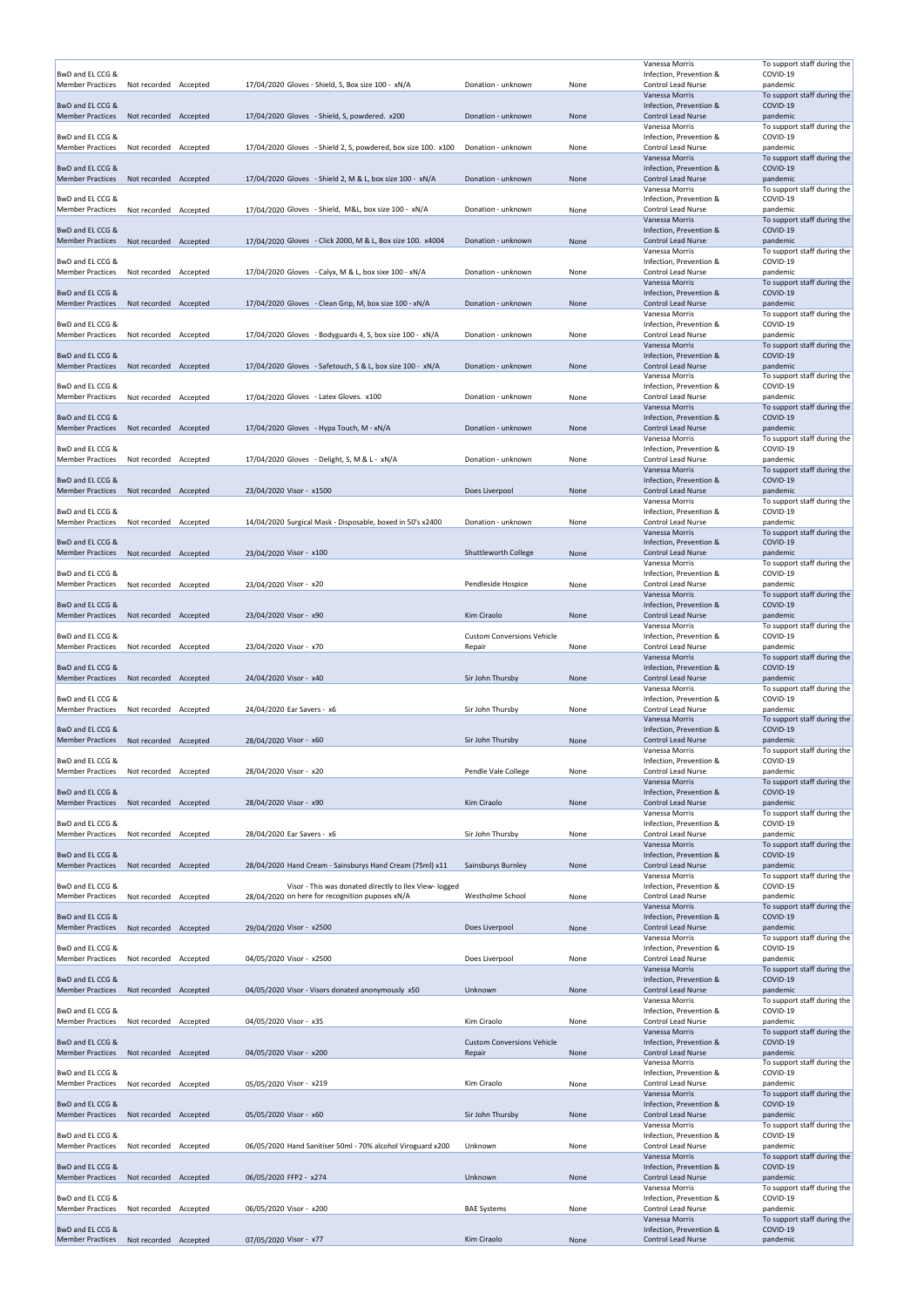|                                                            |                       |                                                               |                                             |      | Vanessa Morris                                       | To support staff during the             |
|------------------------------------------------------------|-----------------------|---------------------------------------------------------------|---------------------------------------------|------|------------------------------------------------------|-----------------------------------------|
| BwD and EL CCG &                                           |                       |                                                               |                                             |      | Infection, Prevention &                              | COVID-19                                |
| <b>Member Practices</b>                                    | Not recorded Accepted | 17/04/2020 Gloves - Shield, S, Box size 100 - xN/A            | Donation - unknown                          | None | Control Lead Nurse                                   | pandemic                                |
| BwD and EL CCG &                                           |                       |                                                               |                                             |      | Vanessa Morris<br>Infection, Prevention &            | To support staff during the<br>COVID-19 |
| <b>Member Practices</b>                                    | Not recorded Accepted | 17/04/2020 Gloves - Shield, S, powdered. x200                 | Donation - unknown                          | None | <b>Control Lead Nurse</b>                            | pandemic                                |
|                                                            |                       |                                                               |                                             |      | Vanessa Morris                                       | To support staff during the             |
| BwD and EL CCG &<br>Member Practices                       | Not recorded Accepted | 17/04/2020 Gloves - Shield 2, S, powdered, box size 100. x100 | Donation - unknown                          | None | Infection, Prevention &<br><b>Control Lead Nurse</b> | COVID-19<br>pandemic                    |
|                                                            |                       |                                                               |                                             |      | Vanessa Morris                                       | To support staff during the             |
| BwD and EL CCG &                                           |                       |                                                               |                                             |      | Infection, Prevention &                              | COVID-19                                |
| <b>Member Practices</b>                                    | Not recorded Accepted | 17/04/2020 Gloves - Shield 2, M & L, box size 100 - xN/A      | Donation - unknown                          | None | <b>Control Lead Nurse</b><br>Vanessa Morris          | pandemic<br>To support staff during the |
| BwD and EL CCG &                                           |                       |                                                               |                                             |      | Infection, Prevention &                              | COVID-19                                |
| Member Practices                                           | Not recorded Accepted | 17/04/2020 Gloves - Shield, M&L, box size 100 - xN/A          | Donation - unknown                          | None | <b>Control Lead Nurse</b>                            | pandemic                                |
| BwD and EL CCG &                                           |                       |                                                               |                                             |      | Vanessa Morris<br>Infection, Prevention &            | To support staff during the<br>COVID-19 |
| <b>Member Practices</b>                                    | Not recorded Accepted | 17/04/2020 Gloves - Click 2000, M & L, Box size 100. x4004    | Donation - unknown                          | None | Control Lead Nurse                                   | pandemic                                |
|                                                            |                       |                                                               |                                             |      | Vanessa Morris                                       | To support staff during the             |
| BwD and EL CCG &                                           |                       |                                                               |                                             |      | Infection, Prevention &                              | COVID-19                                |
| <b>Member Practices</b>                                    | Not recorded Accepted | 17/04/2020 Gloves - Calyx, M & L, box sixe 100 - xN/A         | Donation - unknown                          | None | Control Lead Nurse<br>Vanessa Morris                 | pandemic<br>To support staff during the |
| BwD and EL CCG &                                           |                       |                                                               |                                             |      | Infection, Prevention &                              | COVID-19                                |
| <b>Member Practices</b>                                    | Not recorded Accepted | $17/04/2020$ Gloves - Clean Grip, M, box size 100 - xN/A      | Donation - unknown                          | None | Control Lead Nurse                                   | pandemic                                |
| BwD and EL CCG &                                           |                       |                                                               |                                             |      | Vanessa Morris<br>Infection, Prevention &            | To support staff during the<br>COVID-19 |
| <b>Member Practices</b>                                    | Not recorded Accepted | $17/04/2020$ Gloves - Bodyguards 4, S, box size 100 - xN/A    | Donation - unknown                          | None | Control Lead Nurse                                   | pandemic                                |
|                                                            |                       |                                                               |                                             |      | Vanessa Morris                                       | To support staff during the             |
| BwD and EL CCG &<br><b>Member Practices</b>                | Not recorded Accepted | 17/04/2020 Gloves - Safetouch, S & L, box size 100 - xN/A     | Donation - unknown                          | None | Infection, Prevention &<br><b>Control Lead Nurse</b> | COVID-19<br>pandemic                    |
|                                                            |                       |                                                               |                                             |      | Vanessa Morris                                       | To support staff during the             |
| BwD and EL CCG &                                           |                       |                                                               |                                             |      | Infection, Prevention &                              | COVID-19                                |
| Member Practices                                           | Not recorded Accepted | 17/04/2020 Gloves - Latex Gloves. x100                        | Donation - unknown                          | None | <b>Control Lead Nurse</b>                            | pandemic                                |
| BwD and EL CCG &                                           |                       |                                                               |                                             |      | Vanessa Morris<br>Infection, Prevention &            | To support staff during the<br>COVID-19 |
| <b>Member Practices</b>                                    | Not recorded Accepted | $17/04/2020$ Gloves - Hypa Touch, M - xN/A                    | Donation - unknown                          | None | <b>Control Lead Nurse</b>                            | pandemic                                |
|                                                            |                       |                                                               |                                             |      | Vanessa Morris                                       | To support staff during the             |
| BwD and EL CCG &<br>Member Practices                       | Not recorded Accepted | 17/04/2020 Gloves - Delight, S, M & L - xN/A                  | Donation - unknown                          | None | Infection, Prevention &<br><b>Control Lead Nurse</b> | COVID-19<br>pandemic                    |
|                                                            |                       |                                                               |                                             |      | Vanessa Morris                                       | To support staff during the             |
| BwD and EL CCG &                                           |                       |                                                               |                                             |      | Infection, Prevention &                              | COVID-19                                |
| Member Practices                                           | Not recorded Accepted | 23/04/2020 Visor - x1500                                      | Does Liverpool                              | None | <b>Control Lead Nurse</b><br>Vanessa Morris          | pandemic<br>To support staff during the |
| BwD and EL CCG &                                           |                       |                                                               |                                             |      | Infection, Prevention &                              | COVID-19                                |
| <b>Member Practices</b>                                    | Not recorded Accepted | 14/04/2020 Surgical Mask - Disposable, boxed in 50's x2400    | Donation - unknown                          | None | <b>Control Lead Nurse</b>                            | pandemic                                |
|                                                            |                       |                                                               |                                             |      | Vanessa Morris                                       | To support staff during the             |
| BwD and EL CCG &<br>Member Practices Not recorded Accepted |                       | 23/04/2020 Visor - x100                                       | Shuttleworth College                        | None | Infection, Prevention &<br>Control Lead Nurse        | COVID-19<br>pandemic                    |
|                                                            |                       |                                                               |                                             |      | Vanessa Morris                                       | To support staff during the             |
| BwD and EL CCG &                                           |                       |                                                               |                                             |      | Infection, Prevention &                              | COVID-19                                |
| <b>Member Practices</b>                                    | Not recorded Accepted | 23/04/2020 Visor - x20                                        | Pendleside Hospice                          | None | Control Lead Nurse<br>Vanessa Morris                 | pandemic<br>To support staff during the |
| BwD and EL CCG &                                           |                       |                                                               |                                             |      | Infection, Prevention &                              | COVID-19                                |
| <b>Member Practices</b>                                    | Not recorded Accepted | 23/04/2020 Visor - x90                                        | Kim Ciraolo                                 | None | <b>Control Lead Nurse</b>                            | pandemic                                |
|                                                            |                       |                                                               |                                             |      | Vanessa Morris                                       | To support staff during the<br>COVID-19 |
|                                                            |                       |                                                               |                                             |      |                                                      |                                         |
| BwD and EL CCG &<br><b>Member Practices</b>                | Not recorded Accepted | 23/04/2020 Visor - x70                                        | <b>Custom Conversions Vehicle</b><br>Repair | None | Infection, Prevention &<br><b>Control Lead Nurse</b> | pandemic                                |
|                                                            |                       |                                                               |                                             |      | Vanessa Morris                                       | To support staff during the             |
| BwD and EL CCG &                                           |                       |                                                               |                                             |      | Infection, Prevention &                              | COVID-19                                |
| <b>Member Practices</b>                                    | Not recorded Accepted | 24/04/2020 Visor - x40                                        | Sir John Thursby                            | None | <b>Control Lead Nurse</b><br>Vanessa Morris          | pandemic<br>To support staff during the |
| BwD and EL CCG &                                           |                       |                                                               |                                             |      | Infection, Prevention &                              | COVID-19                                |
| <b>Member Practices</b>                                    | Not recorded Accepted | 24/04/2020 Ear Savers - x6                                    | Sir John Thursby                            | None | Control Lead Nurse                                   | pandemic                                |
|                                                            |                       |                                                               |                                             |      | Vanessa Morris                                       | To support staff during the             |
| BwD and EL CCG &<br><b>Member Practices</b>                | Not recorded Accepted | 28/04/2020 Visor - x60                                        | Sir John Thursby                            | None | Infection, Prevention &<br><b>Control Lead Nurse</b> | COVID-19<br>pandemic                    |
|                                                            |                       |                                                               |                                             |      | Vanessa Morris                                       | To support staff during the             |
| BwD and EL CCG &                                           |                       |                                                               |                                             |      | Infection, Prevention &                              | COVID-19                                |
| <b>Member Practices</b>                                    | Not recorded Accepted | 28/04/2020 Visor - x20                                        | Pendle Vale College                         | None | <b>Control Lead Nurse</b><br>Vanessa Morris          | pandemic<br>To support staff during the |
| BwD and EL CCG &                                           |                       |                                                               |                                             |      | Infection, Prevention &                              | COVID-19                                |
| <b>Member Practices</b>                                    | Not recorded Accepted | 28/04/2020 Visor - x90                                        | Kim Ciraolo                                 | None | <b>Control Lead Nurse</b>                            | pandemic                                |
| BwD and EL CCG &                                           |                       |                                                               |                                             |      | Vanessa Morris<br>Infection, Prevention &            | To support staff during the<br>COVID-19 |
| <b>Member Practices</b>                                    | Not recorded Accepted | 28/04/2020 Ear Savers - x6                                    | Sir John Thursby                            | None | Control Lead Nurse                                   | pandemic                                |
|                                                            |                       |                                                               |                                             |      | Vanessa Morris                                       | To support staff during the             |
| BwD and EL CCG &<br><b>Member Practices</b>                | Not recorded Accepted | 28/04/2020 Hand Cream - Sainsburys Hand Cream (75ml) x11      | Sainsburys Burnley                          | None | Infection, Prevention &<br><b>Control Lead Nurse</b> | COVID-19<br>pandemic                    |
|                                                            |                       |                                                               |                                             |      | Vanessa Morris                                       | To support staff during the             |
| BwD and EL CCG &                                           |                       | Visor - This was donated directly to Ilex View-logged         |                                             |      | Infection, Prevention &                              | COVID-19                                |
| <b>Member Practices</b>                                    | Not recorded Accepted | 28/04/2020 on here for recognition puposes xN/A               | Westholme School                            | None | Control Lead Nurse<br>Vanessa Morris                 | pandemic<br>To support staff during the |
| BwD and EL CCG &                                           |                       |                                                               |                                             |      | Infection, Prevention &                              | COVID-19                                |
| <b>Member Practices</b>                                    | Not recorded Accepted | 29/04/2020 Visor - x2500                                      | Does Liverpool                              | None | Control Lead Nurse                                   | pandemic                                |
| BwD and EL CCG &                                           |                       |                                                               |                                             |      | Vanessa Morris<br>Infection, Prevention &            | To support staff during the<br>COVID-19 |
| <b>Member Practices</b>                                    | Not recorded Accepted | 04/05/2020 Visor - x2500                                      | Does Liverpool                              | None | <b>Control Lead Nurse</b>                            | pandemic                                |
|                                                            |                       |                                                               |                                             |      | Vanessa Morris                                       | To support staff during the             |
| BwD and EL CCG &<br><b>Member Practices</b>                | Not recorded Accepted | 04/05/2020 Visor - Visors donated anonymously x50             | Unknown                                     |      | Infection, Prevention &<br><b>Control Lead Nurse</b> | COVID-19<br>pandemic                    |
|                                                            |                       |                                                               |                                             | None | Vanessa Morris                                       | To support staff during the             |
| BwD and EL CCG &                                           |                       |                                                               |                                             |      | Infection, Prevention &                              | COVID-19                                |
| <b>Member Practices</b>                                    | Not recorded Accepted | 04/05/2020 Visor - x35                                        | Kim Ciraolo                                 | None | Control Lead Nurse<br>Vanessa Morris                 | pandemic<br>To support staff during the |
| BwD and EL CCG &                                           |                       |                                                               | <b>Custom Conversions Vehicle</b>           |      | Infection, Prevention &                              | COVID-19                                |
| Member Practices Not recorded Accepted                     |                       | 04/05/2020 Visor - x200                                       | Repair                                      | None | <b>Control Lead Nurse</b>                            | pandemic                                |
|                                                            |                       |                                                               |                                             |      | Vanessa Morris<br>Infection, Prevention &            | To support staff during the<br>COVID-19 |
| BwD and EL CCG &<br><b>Member Practices</b>                | Not recorded Accepted | 05/05/2020 Visor - x219                                       | Kim Ciraolo                                 | None | Control Lead Nurse                                   | pandemic                                |
|                                                            |                       |                                                               |                                             |      | Vanessa Morris                                       | To support staff during the             |
| BwD and EL CCG &                                           |                       |                                                               |                                             |      | Infection, Prevention &                              | COVID-19                                |
| <b>Member Practices</b>                                    | Not recorded Accepted | 05/05/2020 Visor - x60                                        | Sir John Thursby                            | None | Control Lead Nurse<br>Vanessa Morris                 | pandemic<br>To support staff during the |
| BwD and EL CCG &                                           |                       |                                                               |                                             |      | Infection, Prevention &                              | COVID-19                                |
| <b>Member Practices</b>                                    | Not recorded Accepted | 06/05/2020 Hand Sanitiser 50ml - 70% alcohol Viroguard x200   | Unknown                                     | None | <b>Control Lead Nurse</b>                            | pandemic                                |
| BwD and EL CCG &                                           |                       |                                                               |                                             |      | Vanessa Morris<br>Infection, Prevention &            | To support staff during the<br>COVID-19 |
| <b>Member Practices</b>                                    | Not recorded Accepted | 06/05/2020 FFP2 - x274                                        | Unknown                                     | None | <b>Control Lead Nurse</b>                            | pandemic                                |
|                                                            |                       |                                                               |                                             |      | Vanessa Morris                                       | To support staff during the             |
| BwD and EL CCG &<br><b>Member Practices</b>                | Not recorded Accepted | 06/05/2020 Visor - x200                                       | <b>BAE Systems</b>                          | None | Infection, Prevention &<br><b>Control Lead Nurse</b> | COVID-19<br>pandemic                    |
| BwD and EL CCG &                                           |                       |                                                               |                                             |      | Vanessa Morris<br>Infection, Prevention &            | To support staff during the<br>COVID-19 |